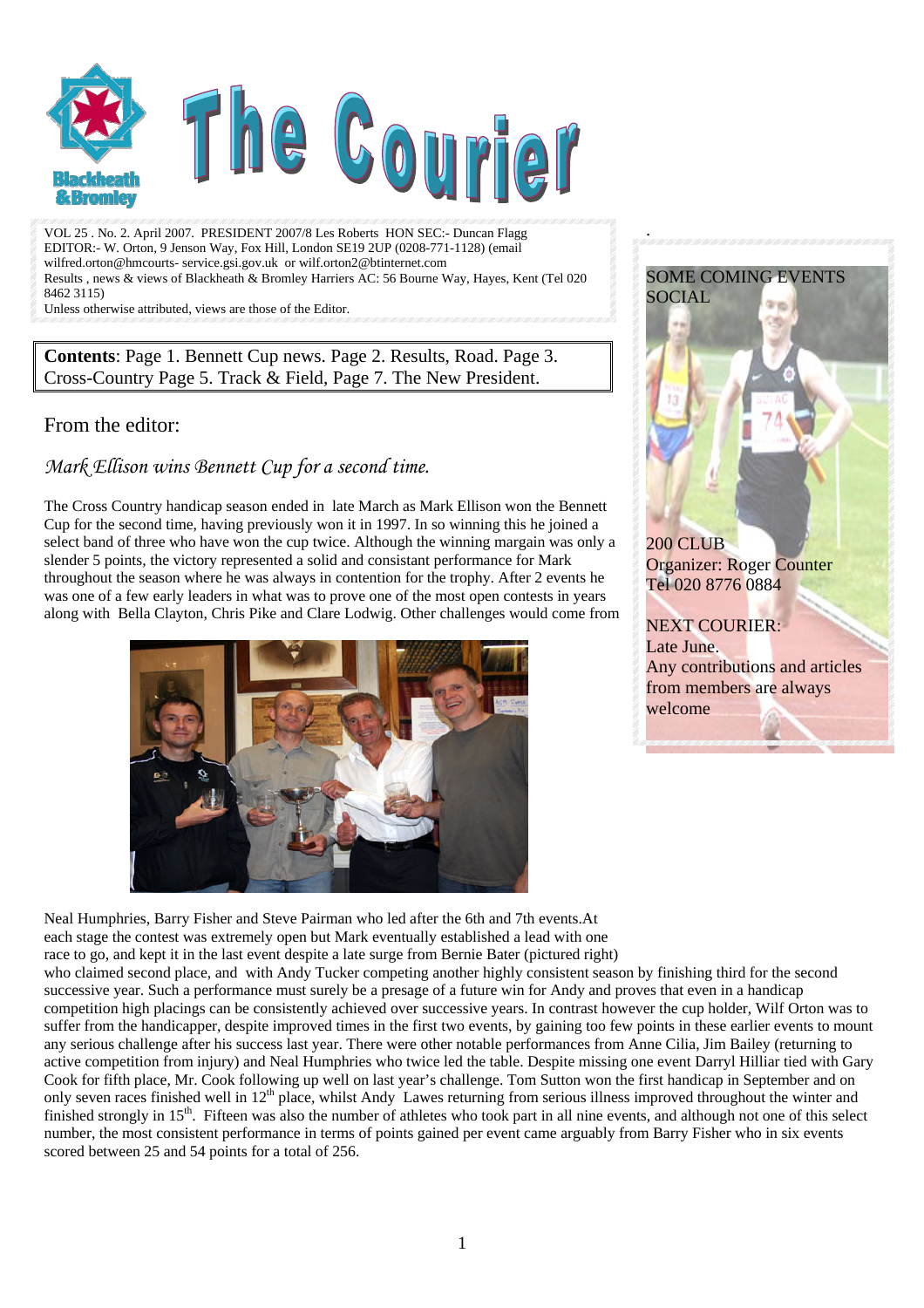

VOL 25 . No. 2. April 2007. PRESIDENT 2007/8 Les Roberts HON SEC:- Duncan Flagg EDITOR:- W. Orton, 9 Jenson Way, Fox Hill, London SE19 2UP (0208-771-1128) (email wilfred.orton@hmcourts- service.gsi.gov.uk or wilf.orton2@btinternet.com Results , news & views of Blackheath & Bromley Harriers AC: 56 Bourne Way, Hayes, Kent (Tel 020 8462 3115)

Unless otherwise attributed, views are those of the Editor.

**Contents**: Page 1. Bennett Cup news. Page 2. Results, Road. Page 3. Cross-Country Page 5. Track & Field, Page 7. The New President.

### From the editor:

*Mark Ellison wins Bennett Cup for a second time.* 

The Cross Country handicap season ended in late March as Mark Ellison won the Bennett Cup for the second time, having previously won it in 1997. In so winning this he joined a select band of three who have won the cup twice. Although the winning margain was only a slender 5 points, the victory represented a solid and consistant performance for Mark throughout the season where he was always in contention for the trophy. After 2 events he was one of a few early leaders in what was to prove one of the most open contests in years along with Bella Clayton, Chris Pike and Clare Lodwig. Other challenges would come from





.

Neal Humphries, Barry Fisher and Steve Pairman who led after the 6th and 7th events.At each stage the contest was extremely open but Mark eventually established a lead with one race to go, and kept it in the last event despite a late surge from Bernie Bater (pictured right) who claimed second place, and with Andy Tucker competing another highly consistent season by finishing third for the second successive year. Such a performance must surely be a presage of a future win for Andy and proves that even in a handicap competition high placings can be consistently achieved over successive years. In contrast however the cup holder, Wilf Orton was to suffer from the handicapper, despite improved times in the first two events, by gaining too few points in these earlier events to mount any serious challenge after his success last year. There were other notable performances from Anne Cilia, Jim Bailey (returning to active competition from injury) and Neal Humphries who twice led the table. Despite missing one event Darryl Hilliar tied with Gary Cook for fifth place, Mr. Cook following up well on last year's challenge. Tom Sutton won the first handicap in September and on only seven races finished well in 12<sup>th</sup> place, whilst Andy Lawes returning from serious illness improved throughout the winter and finished strongly in  $15<sup>th</sup>$ . Fifteen was also the number of athletes who took part in all nine events, and although not one of this select number, the most consistent performance in terms of points gained per event came arguably from Barry Fisher who in six events scored between 25 and 54 points for a total of 256.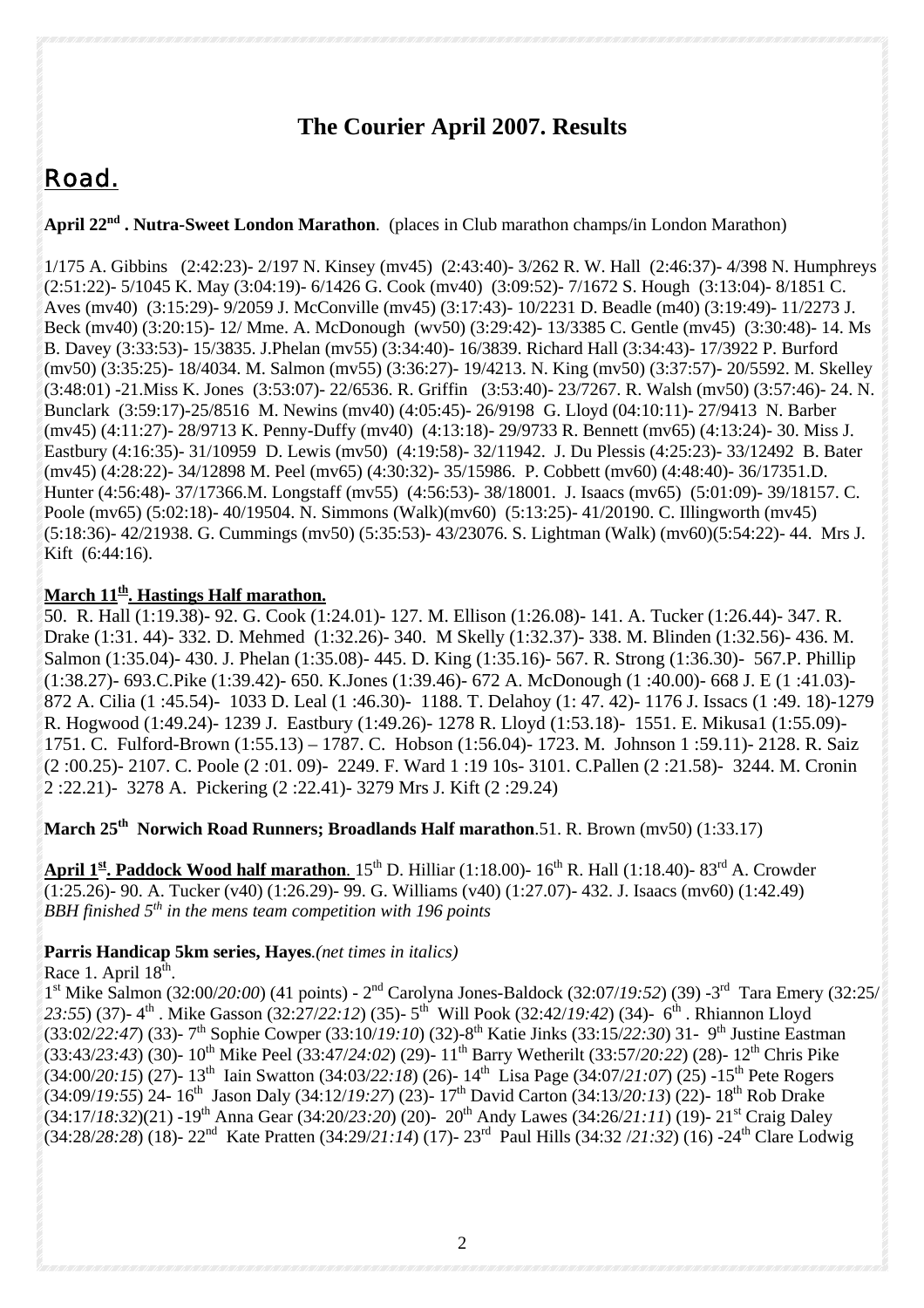# **The Courier April 2007. Results**

# *Road.*

April 22<sup>nd</sup> . Nutra-Sweet London Marathon. (places in Club marathon champs/in London Marathon)

1/175 A. Gibbins (2:42:23)- 2/197 N. Kinsey (mv45) (2:43:40)- 3/262 R. W. Hall (2:46:37)- 4/398 N. Humphreys (2:51:22)- 5/1045 K. May (3:04:19)- 6/1426 G. Cook (mv40) (3:09:52)- 7/1672 S. Hough (3:13:04)- 8/1851 C. Aves (mv40) (3:15:29)- 9/2059 J. McConville (mv45) (3:17:43)- 10/2231 D. Beadle (m40) (3:19:49)- 11/2273 J. Beck (mv40) (3:20:15)- 12/ Mme. A. McDonough (wv50) (3:29:42)- 13/3385 C. Gentle (mv45) (3:30:48)- 14. Ms B. Davey (3:33:53)- 15/3835. J.Phelan (mv55) (3:34:40)- 16/3839. Richard Hall (3:34:43)- 17/3922 P. Burford (mv50) (3:35:25)- 18/4034. M. Salmon (mv55) (3:36:27)- 19/4213. N. King (mv50) (3:37:57)- 20/5592. M. Skelley (3:48:01) -21.Miss K. Jones (3:53:07)- 22/6536. R. Griffin (3:53:40)- 23/7267. R. Walsh (mv50) (3:57:46)- 24. N. Bunclark (3:59:17)-25/8516 M. Newins (mv40) (4:05:45)- 26/9198 G. Lloyd (04:10:11)- 27/9413 N. Barber (mv45) (4:11:27)- 28/9713 K. Penny-Duffy (mv40) (4:13:18)- 29/9733 R. Bennett (mv65) (4:13:24)- 30. Miss J. Eastbury (4:16:35)- 31/10959 D. Lewis (mv50) (4:19:58)- 32/11942. J. Du Plessis (4:25:23)- 33/12492 B. Bater (mv45) (4:28:22)- 34/12898 M. Peel (mv65) (4:30:32)- 35/15986. P. Cobbett (mv60) (4:48:40)- 36/17351.D. Hunter (4:56:48)- 37/17366.M. Longstaff (mv55) (4:56:53)- 38/18001. J. Isaacs (mv65) (5:01:09)- 39/18157. C. Poole (mv65) (5:02:18)- 40/19504. N. Simmons (Walk)(mv60) (5:13:25)- 41/20190. C. Illingworth (mv45) (5:18:36)- 42/21938. G. Cummings (mv50) (5:35:53)- 43/23076. S. Lightman (Walk) (mv60)(5:54:22)- 44. Mrs J. Kift (6:44:16).

#### **March 11<sup>th</sup>. Hastings Half marathon.**

50. R. Hall (1:19.38)- 92. G. Cook (1:24.01)- 127. M. Ellison (1:26.08)- 141. A. Tucker (1:26.44)- 347. R. Drake (1:31. 44)- 332. D. Mehmed (1:32.26)- 340. M Skelly (1:32.37)- 338. M. Blinden (1:32.56)- 436. M. Salmon (1:35.04)- 430. J. Phelan (1:35.08)- 445. D. King (1:35.16)- 567. R. Strong (1:36.30)- 567.P. Phillip (1:38.27)- 693.C.Pike (1:39.42)- 650. K.Jones (1:39.46)- 672 A. McDonough (1 :40.00)- 668 J. E (1 :41.03)- 872 A. Cilia (1 :45.54)- 1033 D. Leal (1 :46.30)- 1188. T. Delahoy (1: 47. 42)- 1176 J. Issacs (1 :49. 18)-1279 R. Hogwood (1:49.24)- 1239 J. Eastbury (1:49.26)- 1278 R. Lloyd (1:53.18)- 1551. E. Mikusa1 (1:55.09)- 1751. C. Fulford-Brown (1:55.13) – 1787. C. Hobson (1:56.04)- 1723. M. Johnson 1 :59.11)- 2128. R. Saiz (2 :00.25)- 2107. C. Poole (2 :01. 09)- 2249. F. Ward 1 :19 10s- 3101. C.Pallen (2 :21.58)- 3244. M. Cronin 2 :22.21)- 3278 A. Pickering (2 :22.41)- 3279 Mrs J. Kift (2 :29.24)

**March 25th Norwich Road Runners; Broadlands Half marathon**.51. R. Brown (mv50) (1:33.17)

April 1<sup>st</sup>. Paddock Wood half marathon. 15<sup>th</sup> D. Hilliar (1:18.00)- 16<sup>th</sup> R. Hall (1:18.40)- 83<sup>rd</sup> A. Crowder (1:25.26)- 90. A. Tucker (v40) (1:26.29)- 99. G. Williams (v40) (1:27.07)- 432. J. Isaacs (mv60) (1:42.49) *BBH finished 5th in the mens team competition with 196 points* 

### **Parris Handicap 5km series, Hayes***.(net times in italics)*

Race 1. April  $18<sup>th</sup>$ .

1st Mike Salmon (32:00/*20:00*) (41 points) - 2nd Carolyna Jones-Baldock (32:07/*19:52*) (39) -3rd Tara Emery (32:25/ *23:55*) (37)- 4th . Mike Gasson (32:27/*22:12*) (35)- 5th Will Pook (32:42/*19:42*) (34)- 6th . Rhiannon Lloyd (33:02/*22:47*) (33)- 7th Sophie Cowper (33:10/*19:10*) (32)-8th Katie Jinks (33:15/*22:30*) 31- 9th Justine Eastman (33:43/*23:43*) (30)- 10th Mike Peel (33:47/*24:02*) (29)- 11th Barry Wetherilt (33:57/*20:22*) (28)- 12th Chris Pike (34:00/*20:15*) (27)- 13th Iain Swatton (34:03/*22:18*) (26)- 14th Lisa Page (34:07/*21:07*) (25) -15th Pete Rogers (34:09/*19:55*) 24- 16th Jason Daly (34:12/*19:27*) (23)- 17th David Carton (34:13/*20:13*) (22)- 18th Rob Drake (34:17/*18:32*)(21) -19th Anna Gear (34:20/*23:20*) (20)- 20th Andy Lawes (34:26/*21:11*) (19)- 21st Craig Daley (34:28/*28:28*) (18)- 22nd Kate Pratten (34:29/*21:14*) (17)- 23rd Paul Hills (34:32 /*21:32*) (16) -24th Clare Lodwig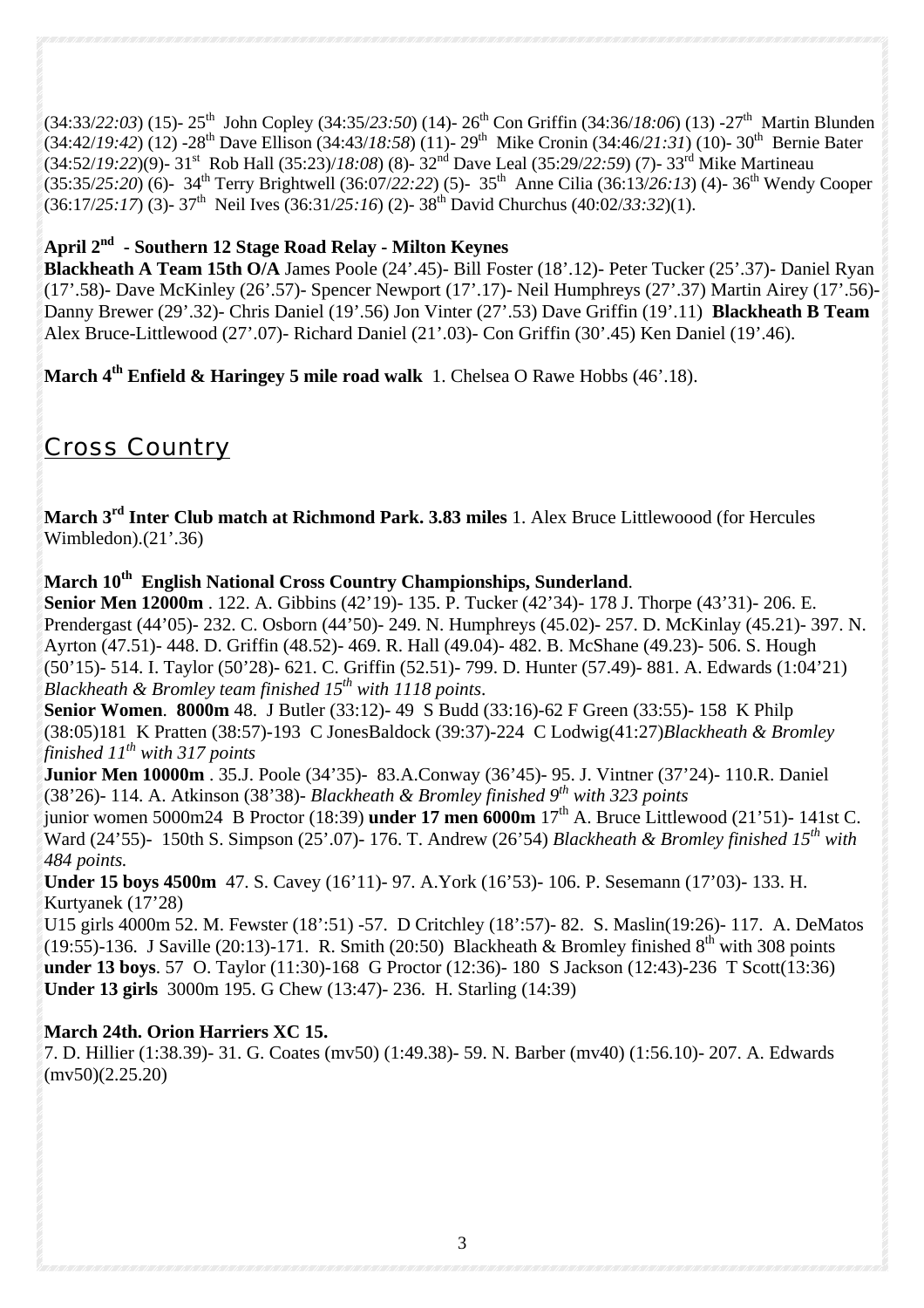(34:33/*22:03*) (15)- 25th John Copley (34:35/*23:50*) (14)- 26th Con Griffin (34:36/*18:06*) (13) -27th Martin Blunden (34:42/*19:42*) (12) -28th Dave Ellison (34:43/*18:58*) (11)- 29th Mike Cronin (34:46/*21:31*) (10)- 30th Bernie Bater (34:52/*19:22*)(9)- 31st Rob Hall (35:23)/*18:08*) (8)- 32nd Dave Leal (35:29/*22:59*) (7)- 33rd Mike Martineau (35:35/*25:20*) (6)- 34th Terry Brightwell (36:07/*22:22*) (5)- 35th Anne Cilia (36:13/*26:13*) (4)- 36th Wendy Cooper (36:17/*25:17*) (3)- 37th Neil Ives (36:31/*25:16*) (2)- 38th David Churchus (40:02/*33:32*)(1).

#### **April 2nd - Southern 12 Stage Road Relay - Milton Keynes**

**Blackheath A Team 15th O/A** James Poole (24'.45)- Bill Foster (18'.12)- Peter Tucker (25'.37)- Daniel Ryan (17'.58)- Dave McKinley (26'.57)- Spencer Newport (17'.17)- Neil Humphreys (27'.37) Martin Airey (17'.56)- Danny Brewer (29'.32)- Chris Daniel (19'.56) Jon Vinter (27'.53) Dave Griffin (19'.11) **Blackheath B Team**  Alex Bruce-Littlewood (27'.07)- Richard Daniel (21'.03)- Con Griffin (30'.45) Ken Daniel (19'.46).

**March 4th Enfield & Haringey 5 mile road walk** 1. Chelsea O Rawe Hobbs (46'.18).

# *Cross Country*

**March 3rd Inter Club match at Richmond Park. 3.83 miles** 1. Alex Bruce Littlewoood (for Hercules Wimbledon).(21'.36)

**March 10th English National Cross Country Championships, Sunderland**.

**Senior Men 12000m** . 122. A. Gibbins (42'19)- 135. P. Tucker (42'34)- 178 J. Thorpe (43'31)- 206. E. Prendergast (44'05)- 232. C. Osborn (44'50)- 249. N. Humphreys (45.02)- 257. D. McKinlay (45.21)- 397. N. Ayrton (47.51)- 448. D. Griffin (48.52)- 469. R. Hall (49.04)- 482. B. McShane (49.23)- 506. S. Hough (50'15)- 514. I. Taylor (50'28)- 621. C. Griffin (52.51)- 799. D. Hunter (57.49)- 881. A. Edwards (1:04'21) *Blackheath & Bromley team finished 15th with 1118 points*.

**Senior Women**. **8000m** 48. J Butler (33:12)- 49 S Budd (33:16)-62 F Green (33:55)- 158 K Philp (38:05)181 K Pratten (38:57)-193 C JonesBaldock (39:37)-224 C Lodwig(41:27)*Blackheath & Bromley finished 11th with 317 points* 

**Junior Men 10000m** . 35.J. Poole (34'35)- 83.A.Conway (36'45)- 95. J. Vintner (37'24)- 110.R. Daniel (38'26)- 114. A. Atkinson (38'38)- *Blackheath & Bromley finished 9th with 323 points*

junior women 5000m24 B Proctor (18:39) **under 17 men 6000m** 17th A. Bruce Littlewood (21'51)- 141st C. Ward (24'55)- 150th S. Simpson (25'.07)- 176. T. Andrew (26'54) *Blackheath & Bromley finished 15th with 484 points.*

**Under 15 boys 4500m** 47. S. Cavey (16'11)- 97. A.York (16'53)- 106. P. Sesemann (17'03)- 133. H. Kurtyanek (17'28)

U15 girls 4000m 52. M. Fewster (18':51) -57. D Critchley (18':57)- 82. S. Maslin(19:26)- 117. A. DeMatos (19:55)-136. J Saville (20:13)-171. R. Smith (20:50) Blackheath & Bromley finished  $8<sup>th</sup>$  with 308 points **under 13 boys**. 57 O. Taylor (11:30)-168 G Proctor (12:36)- 180 S Jackson (12:43)-236 T Scott(13:36) **Under 13 girls** 3000m 195. G Chew (13:47)- 236. H. Starling (14:39)

### **March 24th. Orion Harriers XC 15.**

7. D. Hillier (1:38.39)- 31. G. Coates (mv50) (1:49.38)- 59. N. Barber (mv40) (1:56.10)- 207. A. Edwards  $(mv50)(2.25.20)$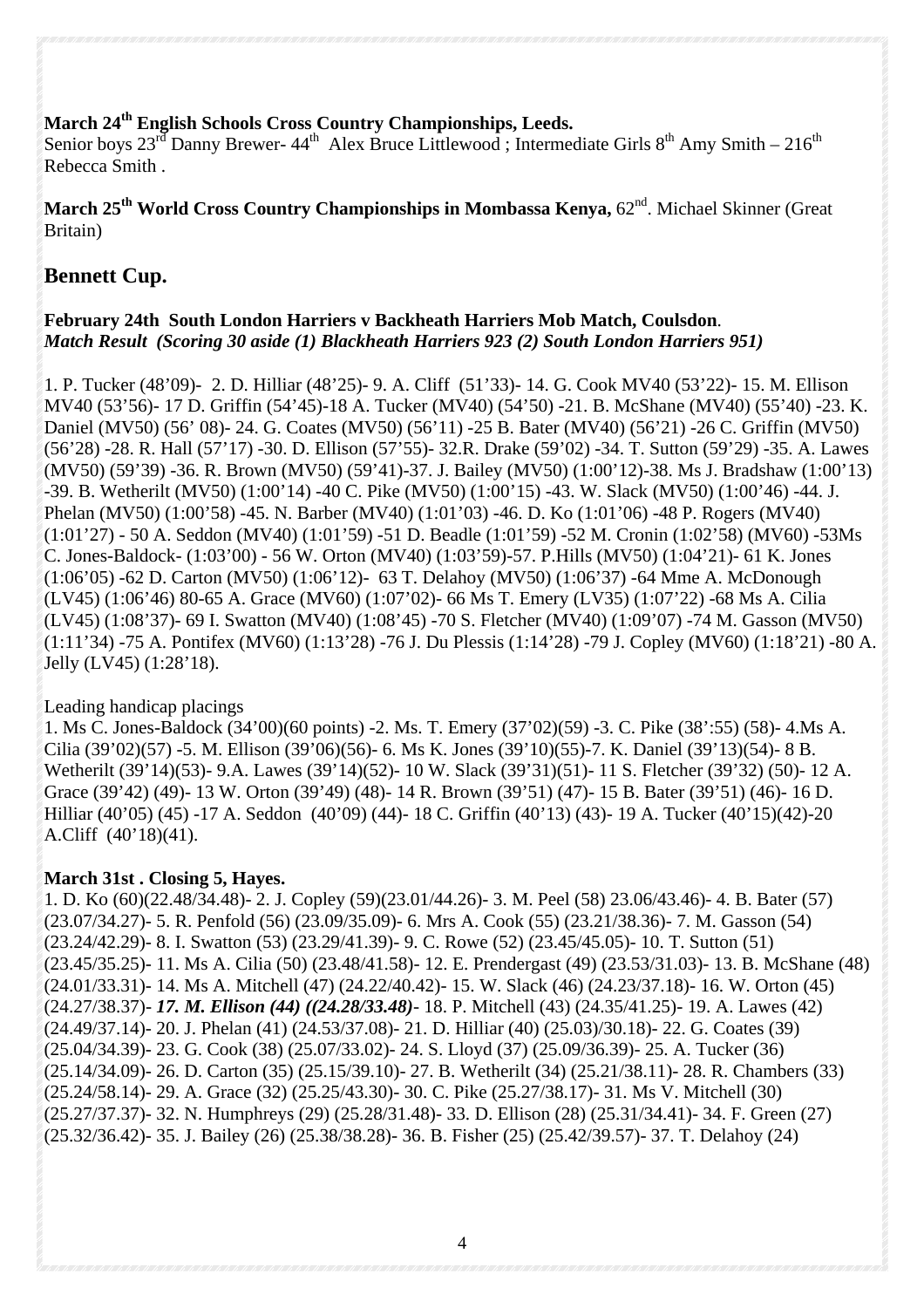#### **March 24th English Schools Cross Country Championships, Leeds.**

Senior boys  $23^{r\bar{d}}$  Danny Brewer-  $44^{th}$  Alex Bruce Littlewood; Intermediate Girls  $8^{th}$  Amy Smith –  $216^{th}$ Rebecca Smith .

**March 25th World Cross Country Championships in Mombassa Kenya,** 62nd. Michael Skinner (Great Britain)

## **Bennett Cup.**

### **February 24th South London Harriers v Backheath Harriers Mob Match, Coulsdon**. *Match Result (Scoring 30 aside (1) Blackheath Harriers 923 (2) South London Harriers 951)*

1. P. Tucker (48'09)- 2. D. Hilliar (48'25)- 9. A. Cliff (51'33)- 14. G. Cook MV40 (53'22)- 15. M. Ellison MV40 (53'56)- 17 D. Griffin (54'45)-18 A. Tucker (MV40) (54'50) -21. B. McShane (MV40) (55'40) -23. K. Daniel (MV50) (56' 08)- 24. G. Coates (MV50) (56'11) -25 B. Bater (MV40) (56'21) -26 C. Griffin (MV50) (56'28) -28. R. Hall (57'17) -30. D. Ellison (57'55)- 32.R. Drake (59'02) -34. T. Sutton (59'29) -35. A. Lawes (MV50) (59'39) -36. R. Brown (MV50) (59'41)-37. J. Bailey (MV50) (1:00'12)-38. Ms J. Bradshaw (1:00'13) -39. B. Wetherilt (MV50) (1:00'14) -40 C. Pike (MV50) (1:00'15) -43. W. Slack (MV50) (1:00'46) -44. J. Phelan (MV50) (1:00'58) -45. N. Barber (MV40) (1:01'03) -46. D. Ko (1:01'06) -48 P. Rogers (MV40) (1:01'27) - 50 A. Seddon (MV40) (1:01'59) -51 D. Beadle (1:01'59) -52 M. Cronin (1:02'58) (MV60) -53Ms C. Jones-Baldock- (1:03'00) - 56 W. Orton (MV40) (1:03'59)-57. P.Hills (MV50) (1:04'21)- 61 K. Jones (1:06'05) -62 D. Carton (MV50) (1:06'12)- 63 T. Delahoy (MV50) (1:06'37) -64 Mme A. McDonough (LV45) (1:06'46) 80-65 A. Grace (MV60) (1:07'02)- 66 Ms T. Emery (LV35) (1:07'22) -68 Ms A. Cilia (LV45) (1:08'37)- 69 I. Swatton (MV40) (1:08'45) -70 S. Fletcher (MV40) (1:09'07) -74 M. Gasson (MV50) (1:11'34) -75 A. Pontifex (MV60) (1:13'28) -76 J. Du Plessis (1:14'28) -79 J. Copley (MV60) (1:18'21) -80 A. Jelly (LV45) (1:28'18).

### Leading handicap placings

1. Ms C. Jones-Baldock (34'00)(60 points) -2. Ms. T. Emery (37'02)(59) -3. C. Pike (38':55) (58)- 4.Ms A. Cilia (39'02)(57) -5. M. Ellison (39'06)(56)- 6. Ms K. Jones (39'10)(55)-7. K. Daniel (39'13)(54)- 8 B. Wetherilt (39'14)(53)- 9.A. Lawes (39'14)(52)- 10 W. Slack (39'31)(51)- 11 S. Fletcher (39'32) (50)- 12 A. Grace (39'42) (49)- 13 W. Orton (39'49) (48)- 14 R. Brown (39'51) (47)- 15 B. Bater (39'51) (46)- 16 D. Hilliar (40'05) (45) -17 A. Seddon (40'09) (44)- 18 C. Griffin (40'13) (43)- 19 A. Tucker (40'15)(42)-20 A.Cliff (40'18)(41).

### **March 31st . Closing 5, Hayes.**

1. D. Ko (60)(22.48/34.48)- 2. J. Copley (59)(23.01/44.26)- 3. M. Peel (58) 23.06/43.46)- 4. B. Bater (57) (23.07/34.27)- 5. R. Penfold (56) (23.09/35.09)- 6. Mrs A. Cook (55) (23.21/38.36)- 7. M. Gasson (54) (23.24/42.29)- 8. I. Swatton (53) (23.29/41.39)- 9. C. Rowe (52) (23.45/45.05)- 10. T. Sutton (51) (23.45/35.25)- 11. Ms A. Cilia (50) (23.48/41.58)- 12. E. Prendergast (49) (23.53/31.03)- 13. B. McShane (48) (24.01/33.31)- 14. Ms A. Mitchell (47) (24.22/40.42)- 15. W. Slack (46) (24.23/37.18)- 16. W. Orton (45) (24.27/38.37)- *17. M. Ellison (44) ((24.28/33.48)*- 18. P. Mitchell (43) (24.35/41.25)- 19. A. Lawes (42) (24.49/37.14)- 20. J. Phelan (41) (24.53/37.08)- 21. D. Hilliar (40) (25.03)/30.18)- 22. G. Coates (39) (25.04/34.39)- 23. G. Cook (38) (25.07/33.02)- 24. S. Lloyd (37) (25.09/36.39)- 25. A. Tucker (36) (25.14/34.09)- 26. D. Carton (35) (25.15/39.10)- 27. B. Wetherilt (34) (25.21/38.11)- 28. R. Chambers (33) (25.24/58.14)- 29. A. Grace (32) (25.25/43.30)- 30. C. Pike (25.27/38.17)- 31. Ms V. Mitchell (30) (25.27/37.37)- 32. N. Humphreys (29) (25.28/31.48)- 33. D. Ellison (28) (25.31/34.41)- 34. F. Green (27) (25.32/36.42)- 35. J. Bailey (26) (25.38/38.28)- 36. B. Fisher (25) (25.42/39.57)- 37. T. Delahoy (24)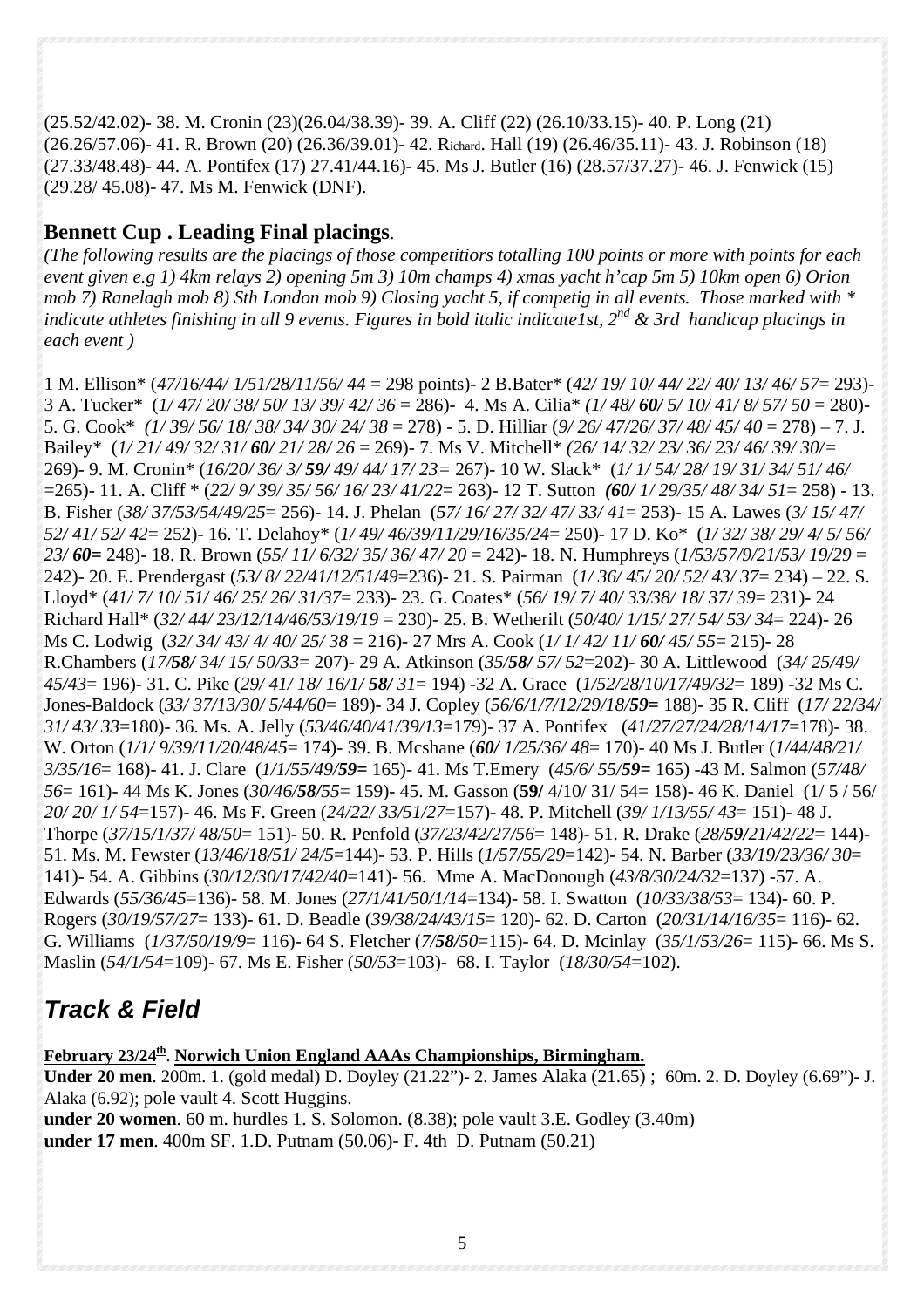(25.52/42.02)- 38. M. Cronin (23)(26.04/38.39)- 39. A. Cliff (22) (26.10/33.15)- 40. P. Long (21) (26.26/57.06)- 41. R. Brown (20) (26.36/39.01)- 42. Richard. Hall (19) (26.46/35.11)- 43. J. Robinson (18) (27.33/48.48)- 44. A. Pontifex (17) 27.41/44.16)- 45. Ms J. Butler (16) (28.57/37.27)- 46. J. Fenwick (15) (29.28/ 45.08)- 47. Ms M. Fenwick (DNF).

## **Bennett Cup . Leading Final placings**.

*(The following results are the placings of those competitiors totalling 100 points or more with points for each event given e.g 1) 4km relays 2) opening 5m 3) 10m champs 4) xmas yacht h'cap 5m 5) 10km open 6) Orion mob 7) Ranelagh mob 8) Sth London mob 9) Closing yacht 5, if competig in all events. Those marked with \* indicate athletes finishing in all 9 events. Figures in bold italic indicate1st, 2<sup>nd</sup> & 3rd handicap placings in each event )*

1 M. Ellison\* (*47/16/44/ 1/51/28/11/56/ 44* = 298 points)- 2 B.Bater\* (*42/ 19/ 10/ 44/ 22/ 40/ 13/ 46/ 57*= 293)- 3 A. Tucker\* (*1/ 47/ 20/ 38/ 50/ 13/ 39/ 42/ 36* = 286)- 4. Ms A. Cilia\* *(1/ 48/ 60/ 5/ 10/ 41/ 8/ 57/ 50* = 280)- 5. G. Cook\* *(1/ 39/ 56/ 18/ 38/ 34/ 30/ 24/ 38* = 278) - 5. D. Hilliar (*9/ 26/ 47/26/ 37/ 48/ 45/ 40* = 278) – 7. J. Bailey\* (*1/ 21/ 49/ 32/ 31/ 60/ 21/ 28/ 26* = 269)- 7. Ms V. Mitchell\* *(26/ 14/ 32/ 23/ 36/ 23/ 46/ 39/ 30/=* 269)- 9. M. Cronin\* (*16/20/ 36/ 3/ 59/ 49/ 44/ 17/ 23=* 267)- 10 W. Slack\* (*1/ 1/ 54/ 28/ 19/ 31/ 34/ 51/ 46/* =265)- 11. A. Cliff \* (*22/ 9/ 39/ 35/ 56/ 16/ 23/ 41/22*= 263)- 12 T. Sutton *(60/ 1/ 29/35/ 48/ 34/ 51*= 258) - 13. B. Fisher (*38/ 37/53/54/49/25*= 256)- 14. J. Phelan (*57/ 16/ 27/ 32/ 47/ 33/ 41*= 253)- 15 A. Lawes (*3/ 15/ 47/ 52/ 41/ 52/ 42*= 252)- 16. T. Delahoy\* (*1/ 49/ 46/39/11/29/16/35/24*= 250)- 17 D. Ko\* (*1/ 32/ 38/ 29/ 4/ 5/ 56/ 23/ 60=* 248)- 18. R. Brown (*55/ 11/ 6/32/ 35/ 36/ 47/ 20* = 242)- 18. N. Humphreys (*1/53/57/9/21/53/ 19/29* = 242)- 20. E. Prendergast (*53/ 8/ 22/41/12/51/49*=236)- 21. S. Pairman (*1/ 36/ 45/ 20/ 52/ 43/ 37*= 234) – 22. S. Lloyd\* (*41/ 7/ 10/ 51/ 46/ 25/ 26/ 31/37*= 233)- 23. G. Coates\* (*56/ 19/ 7/ 40/ 33/38/ 18/ 37/ 39*= 231)- 24 Richard Hall\* (*32/ 44/ 23/12/14/46/53/19/19* = 230)- 25. B. Wetherilt (*50/40/ 1/15/ 27/ 54/ 53/ 34*= 224)- 26 Ms C. Lodwig (*32/ 34/ 43/ 4/ 40/ 25/ 38* = 216)- 27 Mrs A. Cook (*1/ 1/ 42/ 11/ 60/ 45/ 55*= 215)- 28 R.Chambers (*17/58/ 34/ 15/ 50/33*= 207)- 29 A. Atkinson (*35/58/ 57/ 52*=202)- 30 A. Littlewood (*34/ 25/49/ 45/43*= 196)- 31. C. Pike (*29/ 41/ 18/ 16/1/ 58/ 31*= 194) -32 A. Grace (*1/52/28/10/17/49/32*= 189) -32 Ms C. Jones-Baldock (*33/ 37/13/30/ 5/44/60*= 189)- 34 J. Copley (*56/6/1/7/12/29/18/59=* 188)- 35 R. Cliff (*17/ 22/34/ 31/ 43/ 33*=180)- 36. Ms. A. Jelly (*53/46/40/41/39/13*=179)- 37 A. Pontifex (*41/27/27/24/28/14/17*=178)- 38. W. Orton (*1/1/ 9/39/11/20/48/45*= 174)- 39. B. Mcshane (*60/ 1/25/36/ 48*= 170)- 40 Ms J. Butler (*1/44/48/21/ 3/35/16*= 168)- 41. J. Clare (*1/1/55/49/59=* 165)- 41. Ms T.Emery (*45/6/ 55/59=* 165) -43 M. Salmon (*57/48/ 56*= 161)- 44 Ms K. Jones (*30/46/58/55*= 159)- 45. M. Gasson (**59/** 4/10/ 31/ 54= 158)- 46 K. Daniel (1/ 5 / 56/ *20/ 20/ 1/ 54*=157)- 46. Ms F. Green (*24/22/ 33/51/27*=157)- 48. P. Mitchell (*39/ 1/13/55/ 43*= 151)- 48 J. Thorpe (*37/15/1/37/ 48/50*= 151)- 50. R. Penfold (*37/23/42/27/56*= 148)- 51. R. Drake (*28/59/21/42/22*= 144)- 51. Ms. M. Fewster (*13/46/18/51/ 24/5*=144)- 53. P. Hills (*1/57/55/29*=142)- 54. N. Barber (*33/19/23/36/ 30*= 141)- 54. A. Gibbins (*30/12/30/17/42/40*=141)- 56. Mme A. MacDonough (*43/8/30/24/32*=137) -57. A. Edwards (*55/36/45*=136)- 58. M. Jones (*27/1/41/50/1/14*=134)- 58. I. Swatton (*10/33/38/53*= 134)- 60. P. Rogers (*30/19/57/27*= 133)- 61. D. Beadle (*39/38/24/43/15*= 120)- 62. D. Carton (*20/31/14/16/35*= 116)- 62. G. Williams (*1/37/50/19/9*= 116)- 64 S. Fletcher (*7/58/50*=115)- 64. D. Mcinlay (*35/1/53/26*= 115)- 66. Ms S. Maslin (*54/1/54*=109)- 67. Ms E. Fisher (*50/53*=103)- 68. I. Taylor (*18/30/54*=102).

# *Track & Field*

February 23/24<sup>th</sup>. Norwich Union England AAAs Championships, Birmingham.

**Under 20 men**. 200m. 1. (gold medal) D. Doyley (21.22")- 2. James Alaka (21.65) ; 60m. 2. D. Doyley (6.69")- J. Alaka (6.92); pole vault 4. Scott Huggins.

**under 20 women**. 60 m. hurdles 1. S. Solomon. (8.38); pole vault 3.E. Godley (3.40m) **under 17 men**. 400m SF. 1.D. Putnam (50.06)- F. 4th D. Putnam (50.21)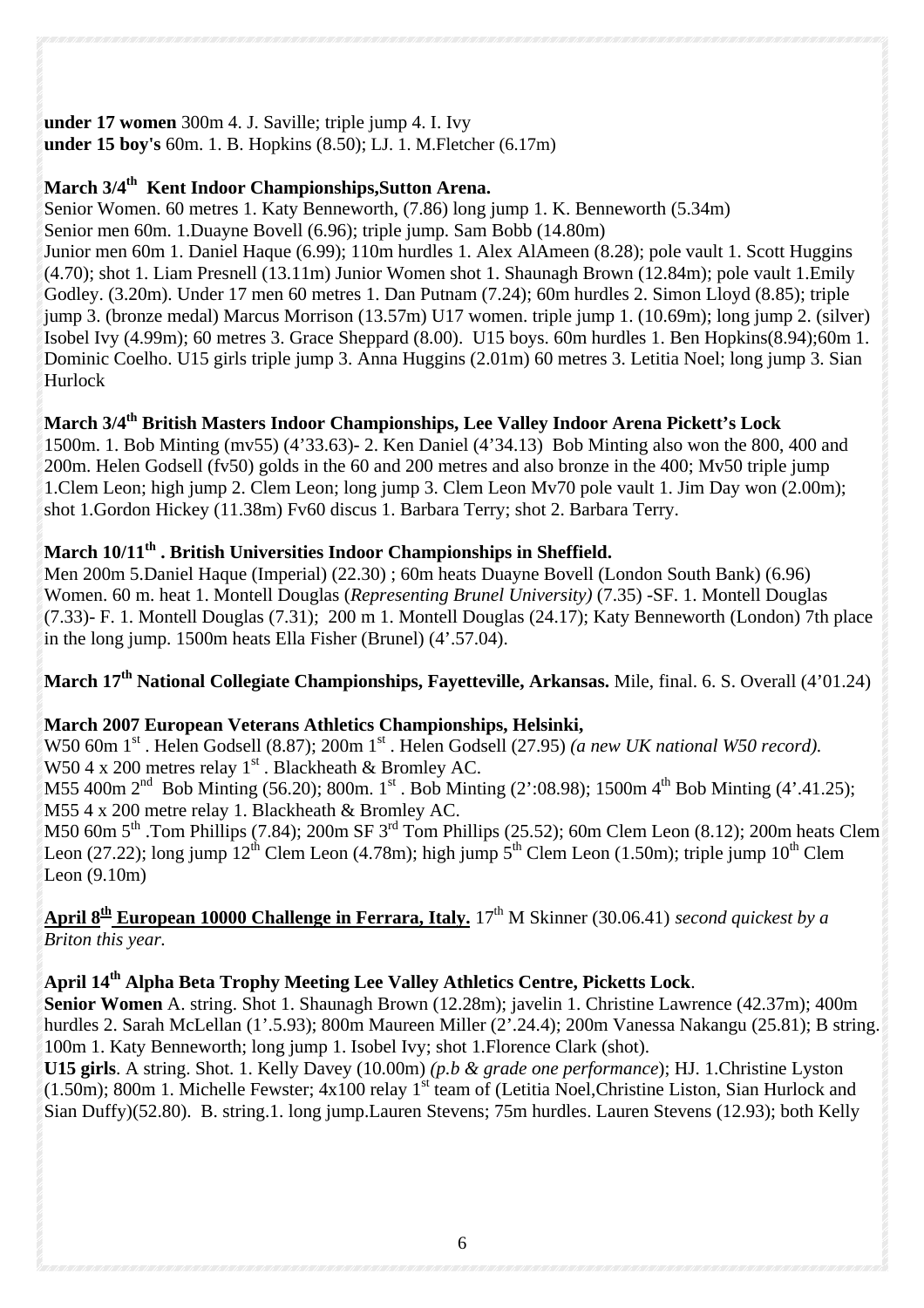## **under 17 women** 300m 4. J. Saville; triple jump 4. I. Ivy

**under 15 boy's** 60m. 1. B. Hopkins (8.50); LJ. 1. M.Fletcher (6.17m)

## **March 3/4th Kent Indoor Championships,Sutton Arena.**

Senior Women. 60 metres 1. Katy Benneworth, (7.86) long jump 1. K. Benneworth (5.34m) Senior men 60m. 1.Duayne Bovell (6.96); triple jump. Sam Bobb (14.80m)

Junior men 60m 1. Daniel Haque (6.99); 110m hurdles 1. Alex AlAmeen (8.28); pole vault 1. Scott Huggins (4.70); shot 1. Liam Presnell (13.11m) Junior Women shot 1. Shaunagh Brown (12.84m); pole vault 1.Emily Godley. (3.20m). Under 17 men 60 metres 1. Dan Putnam (7.24); 60m hurdles 2. Simon Lloyd (8.85); triple jump 3. (bronze medal) Marcus Morrison (13.57m) U17 women. triple jump 1. (10.69m); long jump 2. (silver) Isobel Ivy (4.99m); 60 metres 3. Grace Sheppard (8.00). U15 boys. 60m hurdles 1. Ben Hopkins(8.94);60m 1. Dominic Coelho. U15 girls triple jump 3. Anna Huggins (2.01m) 60 metres 3. Letitia Noel; long jump 3. Sian Hurlock

## March 3/4<sup>th</sup> British Masters Indoor Championships, Lee Valley Indoor Arena Pickett's Lock

1500m. 1. Bob Minting (mv55) (4'33.63)- 2. Ken Daniel (4'34.13) Bob Minting also won the 800, 400 and 200m. Helen Godsell (fv50) golds in the 60 and 200 metres and also bronze in the 400; Mv50 triple jump 1.Clem Leon; high jump 2. Clem Leon; long jump 3. Clem Leon Mv70 pole vault 1. Jim Day won (2.00m); shot 1.Gordon Hickey (11.38m) Fv60 discus 1. Barbara Terry; shot 2. Barbara Terry.

## **March 10/11<sup>th</sup>. British Universities Indoor Championships in Sheffield.**

Men 200m 5.Daniel Haque (Imperial) (22.30) ; 60m heats Duayne Bovell (London South Bank) (6.96) Women. 60 m. heat 1. Montell Douglas (*Representing Brunel University)* (7.35) -SF. 1. Montell Douglas (7.33)- F. 1. Montell Douglas (7.31); 200 m 1. Montell Douglas (24.17); Katy Benneworth (London) 7th place in the long jump. 1500m heats Ella Fisher (Brunel) (4'.57.04).

**March 17th National Collegiate Championships, Fayetteville, Arkansas.** Mile, final. 6. S. Overall (4'01.24)

## **March 2007 European Veterans Athletics Championships, Helsinki,**

W50 60m 1<sup>st</sup> . Helen Godsell (8.87); 200m 1<sup>st</sup> . Helen Godsell (27.95) *(a new UK national W50 record)*. W50 4 x 200 metres relay  $1<sup>st</sup>$ . Blackheath & Bromley AC.

M55 400m  $2<sup>nd</sup>$  Bob Minting (56.20); 800m. 1<sup>st</sup> . Bob Minting (2':08.98); 1500m 4<sup>th</sup> Bob Minting (4'.41.25); M55 4 x 200 metre relay 1. Blackheath & Bromley AC.

M50 60m 5<sup>th</sup> .Tom Phillips (7.84); 200m SF 3<sup>rd</sup> Tom Phillips (25.52); 60m Clem Leon (8.12); 200m heats Clem Leon (27.22); long jump  $12^{th}$  Clem Leon (4.78m); high jump  $5^{th}$  Clem Leon (1.50m); triple jump  $10^{th}$  Clem Leon (9.10m)

## April 8<sup>th</sup> **European 10000 Challenge in Ferrara, Italy.** 17<sup>th</sup> M Skinner (30.06.41) *second quickest by a Briton this year.*

## **April 14th Alpha Beta Trophy Meeting Lee Valley Athletics Centre, Picketts Lock**.

**Senior Women** A. string. Shot 1. Shaunagh Brown (12.28m); javelin 1. Christine Lawrence (42.37m); 400m hurdles 2. Sarah McLellan (1'.5.93); 800m Maureen Miller (2'.24.4); 200m Vanessa Nakangu (25.81); B string. 100m 1. Katy Benneworth; long jump 1. Isobel Ivy; shot 1.Florence Clark (shot).

**U15 girls**. A string. Shot. 1. Kelly Davey (10.00m) *(p.b & grade one performance*); HJ. 1.Christine Lyston  $(1.50m)$ ; 800m 1. Michelle Fewster; 4x100 relay 1<sup>st</sup> team of (Letitia Noel, Christine Liston, Sian Hurlock and Sian Duffy)(52.80). B. string.1. long jump.Lauren Stevens; 75m hurdles. Lauren Stevens (12.93); both Kelly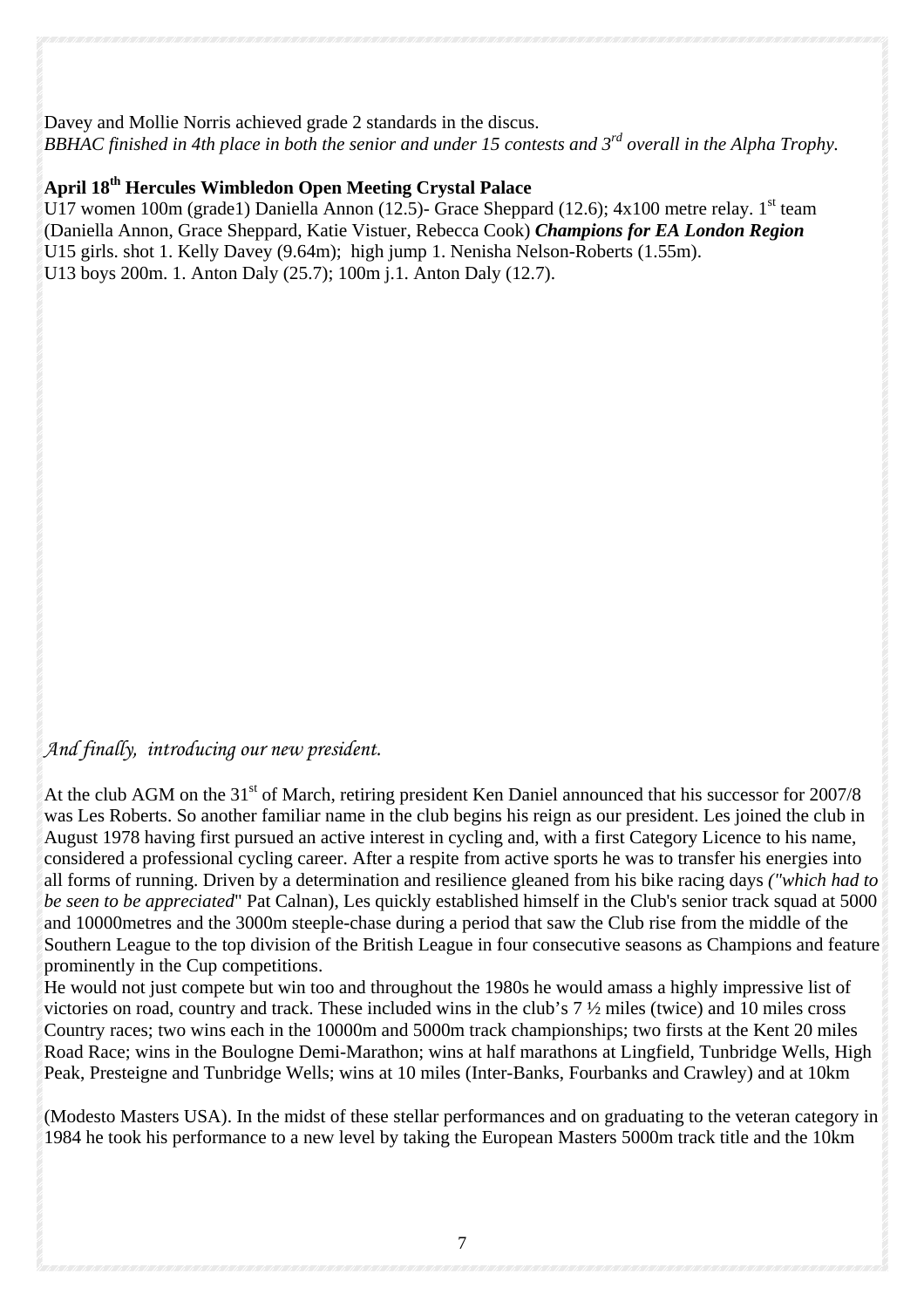#### Davey and Mollie Norris achieved grade 2 standards in the discus. *BBHAC finished in 4th place in both the senior and under 15 contests and 3rd overall in the Alpha Trophy.*

## **April 18th Hercules Wimbledon Open Meeting Crystal Palace**

U17 women 100m (grade1) Daniella Annon (12.5)- Grace Sheppard (12.6);  $4x100$  metre relay. 1<sup>st</sup> team (Daniella Annon, Grace Sheppard, Katie Vistuer, Rebecca Cook) *Champions for EA London Region* U15 girls. shot 1. Kelly Davey (9.64m); high jump 1. Nenisha Nelson-Roberts (1.55m). U13 boys 200m. 1. Anton Daly (25.7); 100m j.1. Anton Daly (12.7).

### *And finally, introducing our new president.*

At the club AGM on the  $31<sup>st</sup>$  of March, retiring president Ken Daniel announced that his successor for 2007/8 was Les Roberts. So another familiar name in the club begins his reign as our president. Les joined the club in August 1978 having first pursued an active interest in cycling and, with a first Category Licence to his name, considered a professional cycling career. After a respite from active sports he was to transfer his energies into all forms of running. Driven by a determination and resilience gleaned from his bike racing days *("which had to be seen to be appreciated*" Pat Calnan), Les quickly established himself in the Club's senior track squad at 5000 and 10000metres and the 3000m steeple-chase during a period that saw the Club rise from the middle of the Southern League to the top division of the British League in four consecutive seasons as Champions and feature prominently in the Cup competitions.

He would not just compete but win too and throughout the 1980s he would amass a highly impressive list of victories on road, country and track. These included wins in the club's 7 ½ miles (twice) and 10 miles cross Country races; two wins each in the 10000m and 5000m track championships; two firsts at the Kent 20 miles Road Race; wins in the Boulogne Demi-Marathon; wins at half marathons at Lingfield, Tunbridge Wells, High Peak, Presteigne and Tunbridge Wells; wins at 10 miles (Inter-Banks, Fourbanks and Crawley) and at 10km

(Modesto Masters USA). In the midst of these stellar performances and on graduating to the veteran category in 1984 he took his performance to a new level by taking the European Masters 5000m track title and the 10km